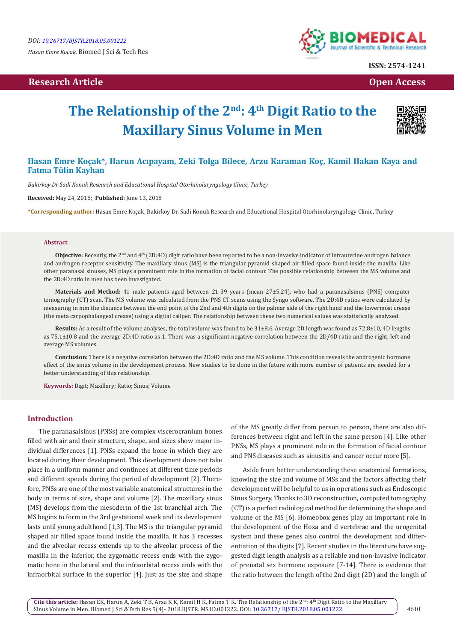## **Research Article Open Access Contract Article Open Access Open Access Open Access**



**ISSN: 2574-1241**

# **The Relationship of the 2nd: 4th Digit Ratio to the Maxillary Sinus Volume in Men**



## **Hasan Emre Koçak\*, Harun Acıpayam, Zeki Tolga Bilece, Arzu Karaman Koç, Kamil Hakan Kaya and Fatma Tülin Kayhan**

*Bakirkoy Dr Sadi Konuk Research and Educational Hospital Otorhinolaryngology Clinic, Turkey*

**Received:** May 24, 2018; **Published:** June 13, 2018

**\*Corresponding author:** Hasan Emre Koçak, Bakirkoy Dr. Sadi Konuk Research and Educational Hospital Otorhinolaryngology Clinic, Turkey

#### **Abstract**

**Objective:** Recently, the 2<sup>nd</sup> and 4<sup>th</sup> (2D:4D) digit ratio have been reported to be a non-invasive indicator of intrauterine androgen balance and androgen receptor sensitivity. The maxillary sinus (MS) is the triangular pyramid shaped air filled space found inside the maxilla. Like other paranasal sinuses, MS plays a prominent role in the formation of facial contour. The possible relationship between the MS volume and the 2D:4D ratio in men has been investigated.

**Materials and Method:** 41 male patients aged between 21-39 years (mean 27±5.24), who had a paranasalsinus (PNS) computer tomography (CT) scan. The MS volume was calculated from the PNS CT scans using the Syngo software. The 2D:4D ratios were calculated by measuring in mm the distance between the end point of the 2nd and 4th digits on the palmar side of the right hand and the lowermost crease (the meta carpophalangeal crease) using a digital caliper. The relationship between these two numerical values was statistically analyzed.

**Results:** As a result of the volume analyses, the total volume was found to be 31±8.6. Average 2D length was found as 72.8±10, 4D lengths as 75.1±10.8 and the average 2D:4D ratio as 1. There was a significant negative correlation between the 2D/4D ratio and the right, left and average MS volumes.

**Conclusion:** There is a negative correlation between the 2D:4D ratio and the MS volume. This condition reveals the androgenic hormone effect of the sinus volume in the development process. New studies to be done in the future with more number of patients are needed for a better understanding of this relationship.

**Keywords:** Digit; Maxillary; Ratio; Sinus; Volume

#### **Introduction**

The paranasalsinus (PNSs) are complex viscerocranium bones filled with air and their structure, shape, and sizes show major individual differences [1]. PNSs expand the bone in which they are located during their development. This development does not take place in a uniform manner and continues at different time periods and different speeds during the period of development [2]. Therefore, PNSs are one of the most variable anatomical structures in the body in terms of size, shape and volume [2]. The maxillary sinus (MS) develops from the mesoderm of the 1st branchial arch. The MS begins to form in the 3rd gestational week and its development lasts until young adulthood [1,3]. The MS is the triangular pyramid shaped air filled space found inside the maxilla. It has 3 recesses and the alveolar recess extends up to the alveolar process of the maxilla in the inferior, the zygomatic recess ends with the zygomatic bone in the lateral and the infraorbital recess ends with the infraorbital surface in the superior [4]. Just as the size and shape

of the MS greatly differ from person to person, there are also differences between right and left in the same person [4]. Like other PNSs, MS plays a prominent role in the formation of facial contour and PNS diseases such as sinusitis and cancer occur more [5].

Aside from better understanding these anatomical formations, knowing the size and volume of MSs and the factors affecting their development will be helpful to us in operations such as Endoscopic Sinus Surgery. Thanks to 3D reconstruction, computed tomography (CT) is a perfect radiological method for determining the shape and volume of the MS [6]. Homeobox genes play an important role in the development of the Hoxa and d vertebrae and the urogenital system and these genes also control the development and differentiation of the digits [7]. Recent studies in the literature have suggested digit length analysis as a reliable and non-invasive indicator of prenatal sex hormone exposure [7-14]. There is evidence that the ratio between the length of the 2nd digit (2D) and the length of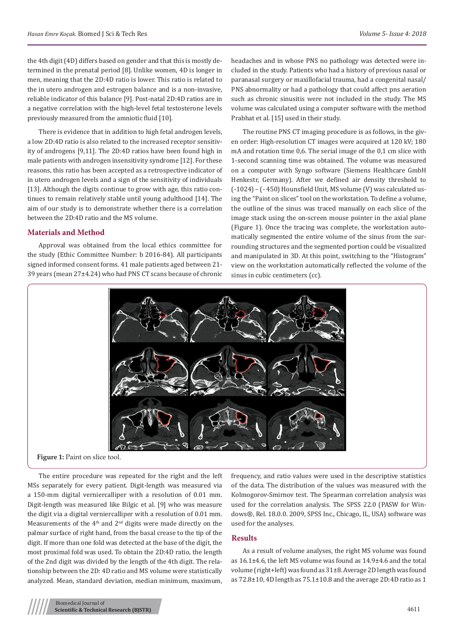the 4th digit (4D) differs based on gender and that this is mostly determined in the prenatal period [8]. Unlike women, 4D is longer in men, meaning that the 2D:4D ratio is lower. This ratio is related to the in utero androgen and estrogen balance and is a non-invasive, reliable indicator of this balance [9]. Post-natal 2D:4D ratios are in a negative correlation with the high-level fetal testosterone levels previously measured from the amniotic fluid [10].

There is evidence that in addition to high fetal androgen levels, a low 2D:4D ratio is also related to the increased receptor sensitivity of androgens [9,11]. The 2D:4D ratios have been found high in male patients with androgen insensitivity syndrome [12]. For these reasons, this ratio has been accepted as a retrospective indicator of in utero androgen levels and a sign of the sensitivity of individuals [13]. Although the digits continue to grow with age, this ratio continues to remain relatively stable until young adulthood [14]. The aim of our study is to demonstrate whether there is a correlation between the 2D:4D ratio and the MS volume.

#### **Materials and Method**

Approval was obtained from the local ethics committee for the study (Ethic Committee Number: b 2016-84). All participants signed informed consent forms. 41 male patients aged between 21- 39 years (mean 27±4.24) who had PNS CT scans because of chronic headaches and in whose PNS no pathology was detected were included in the study. Patients who had a history of previous nasal or paranasal surgery or maxillofacial trauma, had a congenital nasal/ PNS abnormality or had a pathology that could affect pns aeration such as chronic sinusitis were not included in the study. The MS volume was calculated using a computer software with the method Prabhat et al. [15] used in their study.

The routine PNS CT imaging procedure is as follows, in the given order: High-resolution CT images were acquired at 120 kV; 180 mA and rotation time 0,6. The serial image of the 0,1 cm slice with 1-second scanning time was obtained. The volume was measured on a computer with Syngo software (Siemens Healthcare GmbH Henkestr, Germany). After we defined air density threshold to (-1024) – (- 450) Hounsfield Unit, MS volume (V) was calculated using the "Paint on slices" tool on the workstation. To define a volume, the outline of the sinus was traced manually on each slice of the image stack using the on-screen mouse pointer in the axial plane (Figure 1). Once the tracing was complete, the workstation automatically segmented the entire volume of the sinus from the surrounding structures and the segmented portion could be visualized and manipulated in 3D. At this point, switching to the "Histogram" view on the workstation automatically reflected the volume of the sinus in cubic centimeters (cc).



**Figure 1:** Paint on slice tool.

The entire procedure was repeated for the right and the left MSs separately for every patient. Digit-length was measured via a 150-mm digital verniercalliper with a resolution of 0.01 mm. Digit-length was measured like Bilgic et al. [9] who was measure the digit via a digital verniercalliper with a resolution of 0.01 mm. Measurements of the  $4<sup>th</sup>$  and  $2<sup>nd</sup>$  digits were made directly on the palmar surface of right hand, from the basal crease to the tip of the digit. If more than one fold was detected at the base of the digit, the most proximal fold was used. To obtain the 2D:4D ratio, the length of the 2nd digit was divided by the length of the 4th digit. The relationship between the 2D: 4D ratio and MS volume were statistically analyzed. Mean, standard deviation, median minimum, maximum,

frequency, and ratio values were used in the descriptive statistics of the data. The distribution of the values was measured with the Kolmogorov-Smirnov test. The Spearman correlation analysis was used for the correlation analysis. The SPSS 22.0 (PASW for Windows®, Rel. 18.0.0. 2009, SPSS Inc., Chicago, IL, USA) software was used for the analyses.

### **Results**

As a result of volume analyses, the right MS volume was found as 16.1±4.6, the left MS volume was found as 14.9±4.6 and the total volume (right+left) was found as 31±8. Average 2D length was found as 72.8±10, 4D length as 75.1±10.8 and the average 2D:4D ratio as 1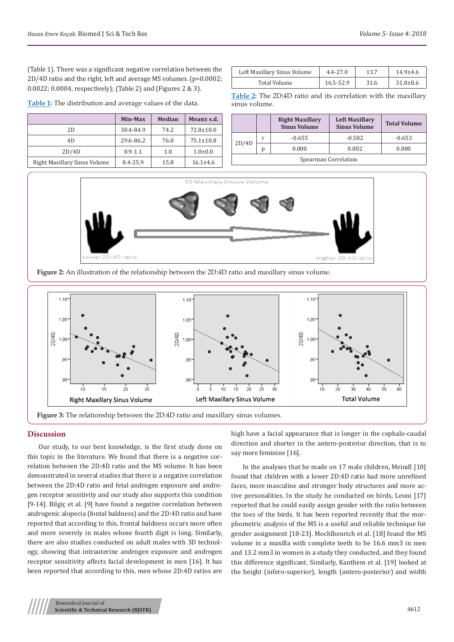(Table 1). There was a significant negative correlation between the 2D/4D ratio and the right, left and average MS volumes. (p=0.0002; 0.0022; 0.0004, respectively); (Table 2) and (Figures 2 & 3).

**Table 1:** The distribution and average values of the data.

|                              | Min-Max     | <b>Median</b> | Mean html.      |
|------------------------------|-------------|---------------|-----------------|
| 2D                           | 30.4-84.9   | 74.2          | $72.8 \pm 10.0$ |
| 4D                           | 29.6-86.2   | 76.0          | $75.1 \pm 10.8$ |
| 2D/4D                        | $0.9 - 1.1$ | 1.0           | $1.0 \pm 0.0$   |
| Right Maxillary Sinus Volume | 8.4-25.9    | 15.8          | $16.1 \pm 4.6$  |

| Left Maxillary Sinus Volume | $4.4 - 27.0$ | 13.7 | $14.9 + 4.6$   |
|-----------------------------|--------------|------|----------------|
| Total Volume                | 16.5-52.9    | 31.6 | $31.0 \pm 8.6$ |

**Table 2:** The 2D:4D ratio and its correlation with the maxillary sinus volume.

|                      |   | <b>Right Maxillary</b><br><b>Sinus Volume</b> | <b>Left Maxillary</b><br><b>Sinus Volume</b> | <b>Total Volume</b> |  |  |  |
|----------------------|---|-----------------------------------------------|----------------------------------------------|---------------------|--|--|--|
| 2D/4D                |   | $-0.655$                                      | $-0.582$                                     | $-0.653$            |  |  |  |
|                      | n | 0.000                                         | 0.002                                        | 0.000               |  |  |  |
| Spearman Correlation |   |                                               |                                              |                     |  |  |  |







#### **Discussion**

Our study, to our best knowledge, is the first study done on this topic in the literature. We found that there is a negative correlation between the 2D:4D ratio and the MS volume. It has been demonstrated in several studies that there is a negative correlation between the 2D:4D ratio and fetal androgen exposure and androgen receptor sensitivity and our study also supports this condition [9-14]. Bilgiç et al. [9] have found a negative correlation between androgenic alopecia (fontal baldness) and the 2D:4D ratio and have reported that according to this, frontal baldness occurs more often and more severely in males whose fourth digit is long. Similarly, there are also studies conducted on adult males with 3D technology, showing that intrauterine androgen exposure and androgen receptor sensitivity affects facial development in men [16]. It has been reported that according to this, men whose 2D:4D ratios are

high have a facial appearance that is longer in the cephalo-caudal direction and shorter in the antero-posterior direction, that is to say more feminine [16].

In the analyses that he made on 17 male children, Meindl [10] found that children with a lower 2D:4D ratio had more unrefined faces, more masculine and stronger body structures and more active personalities. In the study he conducted on birds, Leoni [17] reported that he could easily assign gender with the ratio between the toes of the birds. It has been reported recently that the morphometric analysis of the MS is a useful and reliable technique for gender assignment [18-23]. Mochlhenrich et al. [18] found the MS volume in a maxilla with complete teeth to be 16.6 mm3 in men and 13.2 mm3 in women in a study they conducted, and they found this difference significant. Similarly, Kanthem et al. [19] looked at the height (infero-superior), length (antero-posterior) and width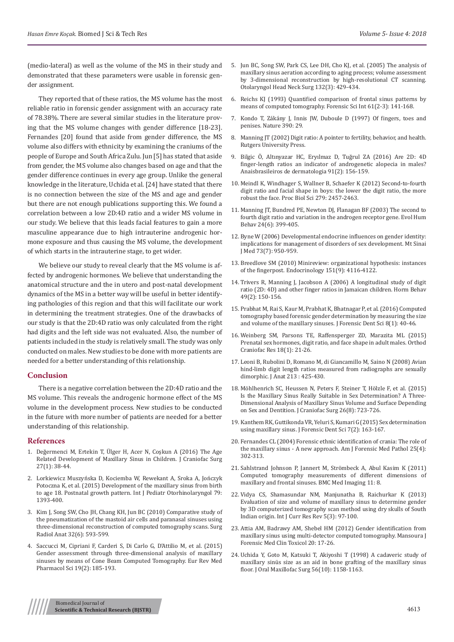(medio-lateral) as well as the volume of the MS in their study and demonstrated that these parameters were usable in forensic gender assignment.

They reported that of these ratios, the MS volume has the most reliable ratio in forensic gender assignment with an accuracy rate of 78.38%. There are several similar studies in the literature proving that the MS volume changes with gender difference [18-23]. Fernandes [20] found that aside from gender difference, the MS volume also differs with ethnicity by examining the craniums of the people of Europe and South Africa Zulu. Jun [5] has stated that aside from gender, the MS volume also changes based on age and that the gender difference continues in every age group. Unlike the general knowledge in the literature, Uchida et al. [24] have stated that there is no connection between the size of the MS and age and gender but there are not enough publications supporting this. We found a correlation between a low 2D:4D ratio and a wider MS volume in our study. We believe that this leads facial features to gain a more masculine appearance due to high intrauterine androgenic hormone exposure and thus causing the MS volume, the development of which starts in the intrauterine stage, to get wider.

We believe our study to reveal clearly that the MS volume is affected by androgenic hormones. We believe that understanding the anatomical structure and the in utero and post-natal development dynamics of the MS in a better way will be useful in better identifying pathologies of this region and that this will facilitate our work in determining the treatment strategies. One of the drawbacks of our study is that the 2D:4D ratio was only calculated from the right had digits and the left side was not evaluated. Also, the number of patients included in the study is relatively small. The study was only conducted on males. New studies to be done with more patients are needed for a better understanding of this relationship.

#### **Conclusion**

There is a negative correlation between the 2D:4D ratio and the MS volume. This reveals the androgenic hormone effect of the MS volume in the development process. New studies to be conducted in the future with more number of patients are needed for a better understanding of this relationship.

#### **References**

- 1. [Değermenci M, Ertekin T, Ülger H, Acer N, Coşkun A \(2016\) The Age](https://www.ncbi.nlm.nih.gov/pubmed/26703070)  [Related Development of Maxillary Sinus in Children. J Craniofac Surg](https://www.ncbi.nlm.nih.gov/pubmed/26703070)  [27\(1\): 38-44.](https://www.ncbi.nlm.nih.gov/pubmed/26703070)
- 2. [Lorkiewicz Muszyńska D, Kociemba W, Rewekant A, Sroka A, Jończyk](https://www.ijporlonline.com/article/S0165-5876(15)00252-9/pdf)  [Potoczna K, et al. \(2015\) Development of the maxillary sinus from birth](https://www.ijporlonline.com/article/S0165-5876(15)00252-9/pdf)  [to age 18. Postnatal growth pattern. Int J Pediatr Otorhinolaryngol 79:](https://www.ijporlonline.com/article/S0165-5876(15)00252-9/pdf)  [1393-400.](https://www.ijporlonline.com/article/S0165-5876(15)00252-9/pdf)
- 3. [Kim J, Song SW, Cho JH, Chang KH, Jun BC \(2010\) Comparative study of](https://www.ncbi.nlm.nih.gov/pubmed/20047049)  [the pneumatization of the mastoid air cells and paranasal sinuses using](https://www.ncbi.nlm.nih.gov/pubmed/20047049)  [three-dimensional reconstruction of computed tomography scans. Surg](https://www.ncbi.nlm.nih.gov/pubmed/20047049)  [Radiol Anat 32\(6\): 593-599.](https://www.ncbi.nlm.nih.gov/pubmed/20047049)
- 4. [Saccucci M, Cipriani F, Carderi S, Di Carlo G, D'Attilio M, et al. \(2015\)](https://www.ncbi.nlm.nih.gov/pubmed/25683929)  [Gender assessment through three-dimensional analysis of maxillary](https://www.ncbi.nlm.nih.gov/pubmed/25683929)  [sinuses by means of Cone Beam Computed Tomography. Eur Rev Med](https://www.ncbi.nlm.nih.gov/pubmed/25683929)  [Pharmacol Sci 19\(2\): 185-193.](https://www.ncbi.nlm.nih.gov/pubmed/25683929)
- 5. [Jun BC, Song SW, Park CS, Lee DH, Cho KJ, et al. \(2005\) The analysis of](https://www.ncbi.nlm.nih.gov/pubmed/15746857) [maxillary sinus aeration according to aging process; volume assessment](https://www.ncbi.nlm.nih.gov/pubmed/15746857) [by 3-dimensional reconstruction by high-resolutional CT scanning.](https://www.ncbi.nlm.nih.gov/pubmed/15746857) [Otolaryngol Head Neck Surg 132\(3\): 429-434.](https://www.ncbi.nlm.nih.gov/pubmed/15746857)
- 6. [Reichs KJ \(1993\) Quantified comparison of frontal sinus patterns by](https://www.ncbi.nlm.nih.gov/pubmed/8307523) [means of computed tomography. Forensic Sci Int 61\(2-3\): 141-168.](https://www.ncbi.nlm.nih.gov/pubmed/8307523)
- 7. [Kondo T, Zákány J, Innis JW, Duboule D \(1997\) Of fingers, toes and](https://www.nature.com/articles/36234) [penises. Nature 390: 29.](https://www.nature.com/articles/36234)
- 8. Manning JT (2002) Digit ratio: A pointer to fertility, behavior, and health. Rutgers University Press.
- 9. [Bilgic Ö, Altınyazar HC, Eryılmaz D, Tuğrul ZA \(2016\) Are 2D: 4D](https://www.ncbi.nlm.nih.gov/pubmed/27192513) [finger-length ratios an indicator of androgenetic alopecia in males?](https://www.ncbi.nlm.nih.gov/pubmed/27192513) [Anaisbrasileiros de dermatologia 91\(2\): 156-159.](https://www.ncbi.nlm.nih.gov/pubmed/27192513)
- 10. [Meindl K, Windhager S, Wallner B, Schaefer K \(2012\) Second-to-fourth](https://www.ncbi.nlm.nih.gov/pmc/articles/PMC3350668/) [digit ratio and facial shape in boys: the lower the digit ratio, the more](https://www.ncbi.nlm.nih.gov/pmc/articles/PMC3350668/) [robust the face. Proc Biol Sci 279: 2457-2463.](https://www.ncbi.nlm.nih.gov/pmc/articles/PMC3350668/)
- 11. [Manning JT, Bundred PE, Newton DJ, Flanagan BF \(2003\) The second to](https://www.sciencedirect.com/science/article/pii/S1090513803000527) [fourth digit ratio and variation in the androgen receptor gene. Evol Hum](https://www.sciencedirect.com/science/article/pii/S1090513803000527) [Behav 24\(6\): 399-405.](https://www.sciencedirect.com/science/article/pii/S1090513803000527)
- 12. [Byne W \(2006\) Developmental endocrine influences on gender identity:](https://www.ncbi.nlm.nih.gov/pubmed/17195880) [implications for management of disorders of sex development. Mt Sinai](https://www.ncbi.nlm.nih.gov/pubmed/17195880) [J Med 73\(7\): 950-959.](https://www.ncbi.nlm.nih.gov/pubmed/17195880)
- 13. [Breedlove SM \(2010\) Minireview: organizational hypothesis: instances](https://www.ncbi.nlm.nih.gov/pubmed/20631003) [of the fingerpost. Endocrinology 151\(9\): 4116-4122.](https://www.ncbi.nlm.nih.gov/pubmed/20631003)
- 14. [Trivers R, Manning J, Jacobson A \(2006\) A longitudinal study of digit](https://www.ncbi.nlm.nih.gov/pubmed/16040033) [ratio \(2D: 4D\) and other finger ratios in Jamaican children. Horm Behav](https://www.ncbi.nlm.nih.gov/pubmed/16040033) [49\(2\): 150-156.](https://www.ncbi.nlm.nih.gov/pubmed/16040033)
- 15. [Prabhat M, Rai S, Kaur M, Prabhat K, Bhatnagar P, et al. \(2016\) Computed](https://www.ncbi.nlm.nih.gov/pubmed/27051222) [tomography based forensic gender determination by measuring the size](https://www.ncbi.nlm.nih.gov/pubmed/27051222) [and volume of the maxillary sinuses. J Forensic Dent Sci 8\(1\): 40-46.](https://www.ncbi.nlm.nih.gov/pubmed/27051222)
- 16. [Weinberg SM, Parsons TE, Raffensperger ZD, Marazita ML \(2015\)](https://www.ncbi.nlm.nih.gov/pubmed/25257381) [Prenatal sex hormones, digit ratio, and face shape in adult males. Orthod](https://www.ncbi.nlm.nih.gov/pubmed/25257381) [Craniofac Res 18\(1\): 21-26.](https://www.ncbi.nlm.nih.gov/pubmed/25257381)
- 17. [Leoni B, Rubolini D, Romano M, di Giancamillo M, Saino N \(2008\) Avian](https://www.ncbi.nlm.nih.gov/pmc/articles/PMC2644774/) [hind-limb digit length ratios measured from radiographs are sexually](https://www.ncbi.nlm.nih.gov/pmc/articles/PMC2644774/) [dimorphic. J Anat 213 : 425-430.](https://www.ncbi.nlm.nih.gov/pmc/articles/PMC2644774/)
- 18. [Möhlhenrich SC, Heussen N, Peters F, Steiner T, Hölzle F, et al. \(2015\)](https://www.ncbi.nlm.nih.gov/pubmed/26594986) [Is the Maxillary Sinus Really Suitable in Sex Determination? A Three-](https://www.ncbi.nlm.nih.gov/pubmed/26594986)[Dimensional Analysis of Maxillary Sinus Volume and Surface Depending](https://www.ncbi.nlm.nih.gov/pubmed/26594986) [on Sex and Dentition. J Craniofac Surg 26\(8\): 723-726.](https://www.ncbi.nlm.nih.gov/pubmed/26594986)
- 19. [Kanthem RK, Guttikonda VR, Yeluri S, Kumari G \(2015\) Sex determination](https://www.ncbi.nlm.nih.gov/pmc/articles/PMC4430577/) [using maxillary sinus. J Forensic Dent Sci 7\(2\): 163-167.](https://www.ncbi.nlm.nih.gov/pmc/articles/PMC4430577/)
- 20. [Fernandes CL \(2004\) Forensic ethnic identification of crania: The role of](https://www.ncbi.nlm.nih.gov/pubmed/15577519) [the maxillary sinus - A new approach. Am J Forensic Med Pathol 25\(4\):](https://www.ncbi.nlm.nih.gov/pubmed/15577519) [302-313.](https://www.ncbi.nlm.nih.gov/pubmed/15577519)
- 21. [Sahlstrand Johnson P, Jannert M, Strömbeck A, Abul Kasim K \(2011\)](https://bmcmedimaging.biomedcentral.com/articles/10.1186/1471-2342-11-8) [Computed tomography measurements of different dimensions of](https://bmcmedimaging.biomedcentral.com/articles/10.1186/1471-2342-11-8) [maxillary and frontal sinuses. BMC Med Imaging 11: 8.](https://bmcmedimaging.biomedcentral.com/articles/10.1186/1471-2342-11-8)
- 22. [Vidya CS, Shamasundar NM, Manjunatha B, Raichurkar K \(2013\)](http://www.scopemed.org/?mno=34329) [Evaluation of size and volume of maxillary sinus to determine gender](http://www.scopemed.org/?mno=34329) [by 3D computerized tomography scan method using dry skulls of South](http://www.scopemed.org/?mno=34329) [Indian origin. Int J Curr Res Rev 5\(3\): 97-100.](http://www.scopemed.org/?mno=34329)
- 23. [Attia AM, Badrawy AM, Shebel HM \(2012\) Gender identification from](http://mfmctjournal.com/Doc_resource/2012/January/2.pdf) [maxillary sinus using multi-detector computed tomography. Mansoura J](http://mfmctjournal.com/Doc_resource/2012/January/2.pdf) [Forensic Med Clin Toxicol 20: 17-26.](http://mfmctjournal.com/Doc_resource/2012/January/2.pdf)
- 24. [Uchida Y, Goto M, Katsuki T, Akiyoshi T \(1998\) A cadaveric study of](https://www.ncbi.nlm.nih.gov/pubmed/9766541) [maxillary sinüs size as an aid in bone grafting of the maxillary sinus](https://www.ncbi.nlm.nih.gov/pubmed/9766541) [floor. J Oral Maxillofac Surg 56\(10\): 1158-1163.](https://www.ncbi.nlm.nih.gov/pubmed/9766541)